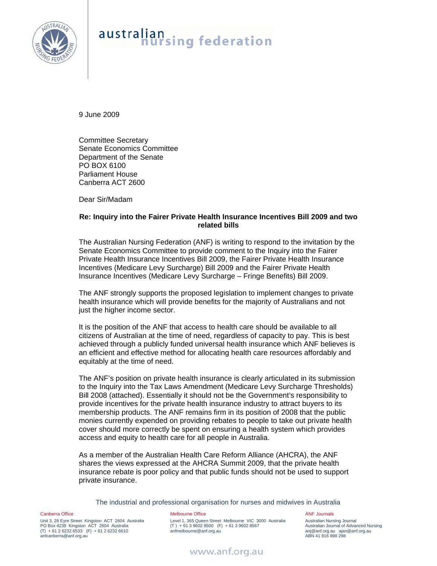

# australian<br>nursing federation

9 June 2009

Committee Secretary Senate Economics Committee Department of the Senate PO BOX 6100 Parliament House Canberra ACT 2600

Dear Sir/Madam

### **Re: Inquiry into the Fairer Private Health Insurance Incentives Bill 2009 and two related bills**

The Australian Nursing Federation (ANF) is writing to respond to the invitation by the Senate Economics Committee to provide comment to the Inquiry into the Fairer Private Health Insurance Incentives Bill 2009, the Fairer Private Health Insurance Incentives (Medicare Levy Surcharge) Bill 2009 and the Fairer Private Health Insurance Incentives (Medicare Levy Surcharge – Fringe Benefits) Bill 2009.

The ANF strongly supports the proposed legislation to implement changes to private health insurance which will provide benefits for the majority of Australians and not just the higher income sector.

It is the position of the ANF that access to health care should be available to all citizens of Australian at the time of need, regardless of capacity to pay. This is best achieved through a publicly funded universal health insurance which ANF believes is an efficient and effective method for allocating health care resources affordably and equitably at the time of need.

The ANF's position on private health insurance is clearly articulated in its submission to the Inquiry into the Tax Laws Amendment (Medicare Levy Surcharge Thresholds) Bill 2008 (attached). Essentially it should not be the Government's responsibility to provide incentives for the private health insurance industry to attract buyers to its membership products. The ANF remains firm in its position of 2008 that the public monies currently expended on providing rebates to people to take out private health cover should more correctly be spent on ensuring a health system which provides access and equity to health care for all people in Australia.

As a member of the Australian Health Care Reform Alliance (AHCRA), the ANF shares the views expressed at the AHCRA Summit 2009, that the private health insurance rebate is poor policy and that public funds should not be used to support private insurance.

The industrial and professional organisation for nurses and midwives in Australia

Canberra Office

Unit 3, 28 Eyre Street Kingston ACT 2604 Australia PO Box 4239 Kingston ACT 2604 Australia (T) + 61 2 6232 6533 (F) + 61 2 6232 6610 anfcanberra@anf.org.au

### Melbourne Office

Level 1, 365 Queen Street Melbourne VIC 3000 Australia  $(T) + 61396028500$  (F) + 61 3 9602 8567 anfmelbourne@anf.org.au

ANF Journals Australian Nursing Journal Australian Journal of Advanced Nursing anj@anf.org.au ajan@anf.org.au ABN 41 816 898 298